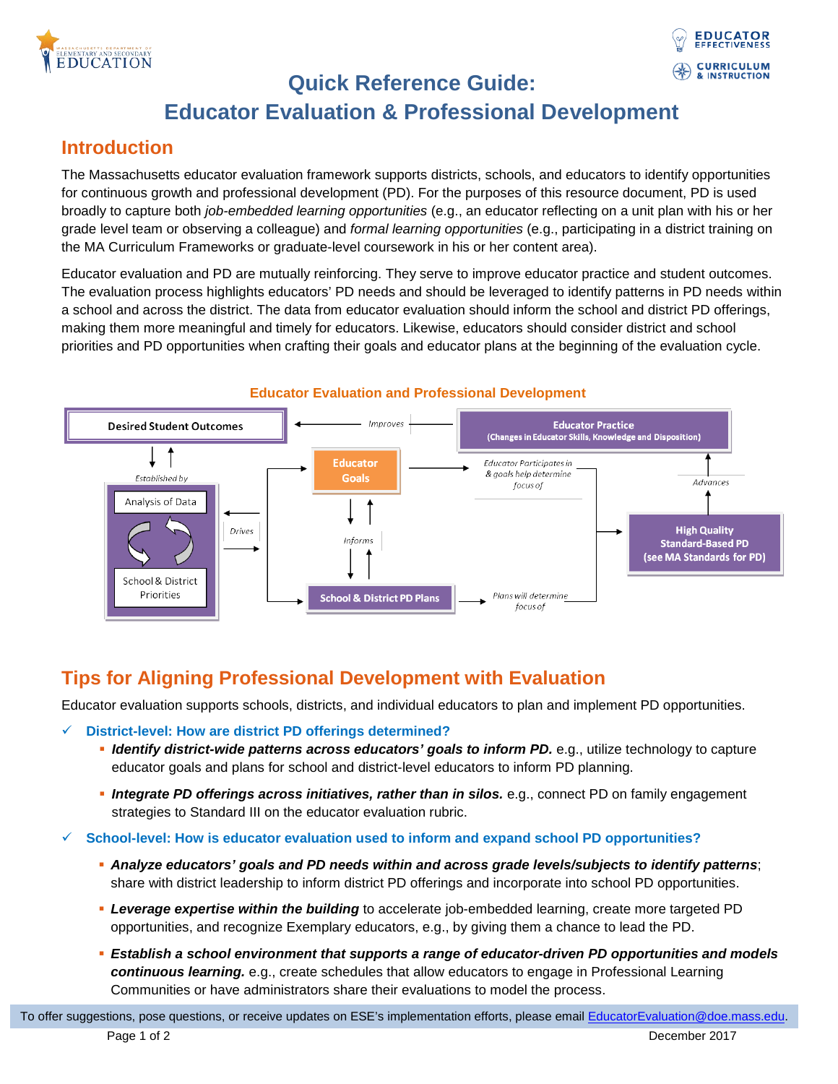



## **Quick Reference Guide:**

# **Educator Evaluation & Professional Development**

### **Introduction**

The Massachusetts educator evaluation framework supports districts, schools, and educators to identify opportunities for continuous growth and professional development (PD). For the purposes of this resource document, PD is used broadly to capture both *job-embedded learning opportunities* (e.g., an educator reflecting on a unit plan with his or her grade level team or observing a colleague) and *formal learning opportunities* (e.g., participating in a district training on the MA Curriculum Frameworks or graduate-level coursework in his or her content area).

Educator evaluation and PD are mutually reinforcing. They serve to improve educator practice and student outcomes. The evaluation process highlights educators' PD needs and should be leveraged to identify patterns in PD needs within a school and across the district. The data from educator evaluation should inform the school and district PD offerings, making them more meaningful and timely for educators. Likewise, educators should consider district and school priorities and PD opportunities when crafting their goals and educator plans at the beginning of the evaluation cycle.



#### **Educator Evaluation and Professional Development**

### **Tips for Aligning Professional Development with Evaluation**

Educator evaluation supports schools, districts, and individual educators to plan and implement PD opportunities.

#### **District-level: How are district PD offerings determined?**

- *Identify district-wide patterns across educators' goals to inform PD.* e.g., utilize technology to capture educator goals and plans for school and district-level educators to inform PD planning.
- **Integrate PD offerings across initiatives, rather than in silos.** e.g., connect PD on family engagement strategies to Standard III on the educator evaluation rubric.
- **School-level: How is educator evaluation used to inform and expand school PD opportunities?** 
	- *Analyze educators' goals and PD needs within and across grade levels/subjects to identify patterns*; share with district leadership to inform district PD offerings and incorporate into school PD opportunities.
	- *Leverage expertise within the building* to accelerate job-embedded learning, create more targeted PD opportunities, and recognize Exemplary educators, e.g., by giving them a chance to lead the PD.
	- *Establish a school environment that supports a range of educator-driven PD opportunities and models continuous learning.* e.g., create schedules that allow educators to engage in Professional Learning Communities or have administrators share their evaluations to model the process.

To offer suggestions, pose questions, or receive updates on ESE's implementation efforts, please emai[l EducatorEvaluation@doe.mass.edu.](mailto:EducatorEvaluation@doe.mass.edu) Page 1 of 2 December 2017